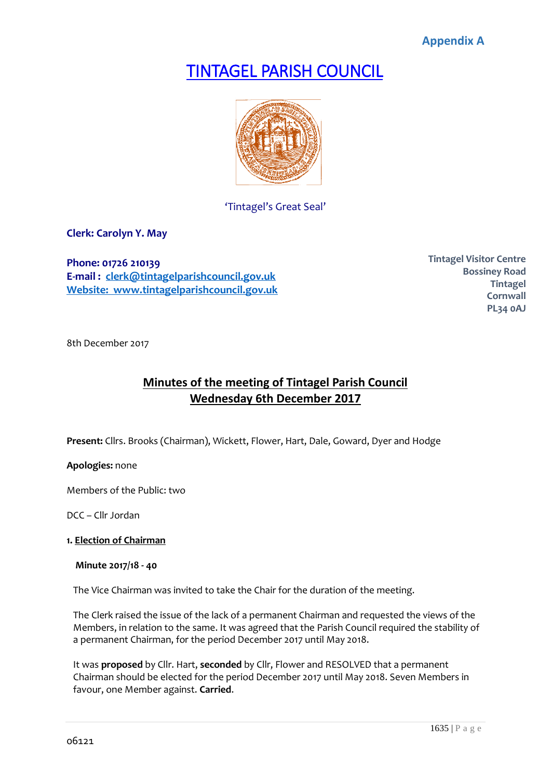**Appendix A**

# TINTAGEL PARISH COUNCIL



'Tintagel's Great Seal'

**Clerk: Carolyn Y. May**

**Phone: 01726 210139 E-mail : [clerk@tintagelparishcouncil.gov.uk](mailto:clerk@tintagelparishcouncil.gov.uk) Website: www.tintagelparishcouncil.gov.uk** **Tintagel Visitor Centre Bossiney Road Tintagel Cornwall PL34 0AJ**

8th December 2017

# **Minutes of the meeting of Tintagel Parish Council Wednesday 6th December 2017**

**Present:** Cllrs. Brooks (Chairman), Wickett, Flower, Hart, Dale, Goward, Dyer and Hodge

**Apologies:** none

Members of the Public: two

DCC – Cllr Jordan

# **1. Election of Chairman**

#### **Minute 2017/18 - 40**

The Vice Chairman was invited to take the Chair for the duration of the meeting.

The Clerk raised the issue of the lack of a permanent Chairman and requested the views of the Members, in relation to the same. It was agreed that the Parish Council required the stability of a permanent Chairman, for the period December 2017 until May 2018.

It was **proposed** by Cllr. Hart, **seconded** by Cllr, Flower and RESOLVED that a permanent Chairman should be elected for the period December 2017 until May 2018. Seven Members in favour, one Member against. **Carried**.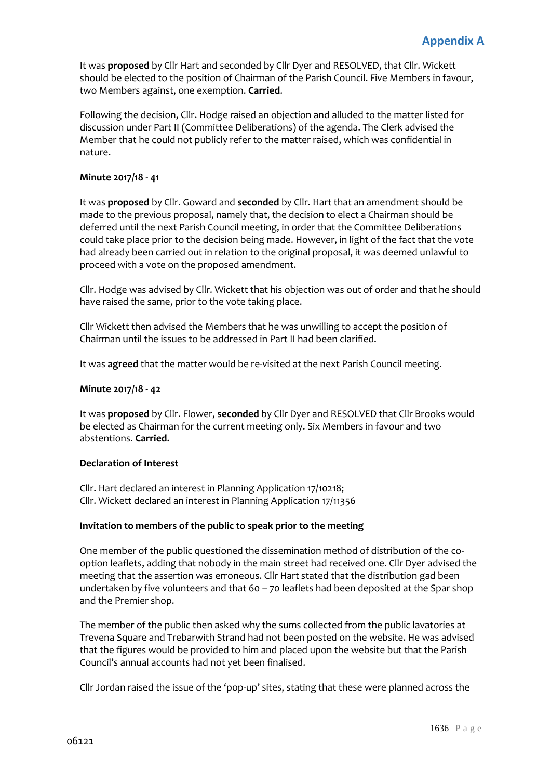It was **proposed** by Cllr Hart and seconded by Cllr Dyer and RESOLVED, that Cllr. Wickett should be elected to the position of Chairman of the Parish Council. Five Members in favour, two Members against, one exemption. **Carried**.

Following the decision, Cllr. Hodge raised an objection and alluded to the matter listed for discussion under Part II (Committee Deliberations) of the agenda. The Clerk advised the Member that he could not publicly refer to the matter raised, which was confidential in nature.

# **Minute 2017/18 - 41**

It was **proposed** by Cllr. Goward and **seconded** by Cllr. Hart that an amendment should be made to the previous proposal, namely that, the decision to elect a Chairman should be deferred until the next Parish Council meeting, in order that the Committee Deliberations could take place prior to the decision being made. However, in light of the fact that the vote had already been carried out in relation to the original proposal, it was deemed unlawful to proceed with a vote on the proposed amendment.

Cllr. Hodge was advised by Cllr. Wickett that his objection was out of order and that he should have raised the same, prior to the vote taking place.

Cllr Wickett then advised the Members that he was unwilling to accept the position of Chairman until the issues to be addressed in Part II had been clarified.

It was **agreed** that the matter would be re-visited at the next Parish Council meeting.

### **Minute 2017/18 - 42**

It was **proposed** by Cllr. Flower, **seconded** by Cllr Dyer and RESOLVED that Cllr Brooks would be elected as Chairman for the current meeting only. Six Members in favour and two abstentions. **Carried.**

#### **Declaration of Interest**

Cllr. Hart declared an interest in Planning Application 17/10218; Cllr. Wickett declared an interest in Planning Application 17/11356

#### **Invitation to members of the public to speak prior to the meeting**

One member of the public questioned the dissemination method of distribution of the cooption leaflets, adding that nobody in the main street had received one. Cllr Dyer advised the meeting that the assertion was erroneous. Cllr Hart stated that the distribution gad been undertaken by five volunteers and that 60 – 70 leaflets had been deposited at the Spar shop and the Premier shop.

The member of the public then asked why the sums collected from the public lavatories at Trevena Square and Trebarwith Strand had not been posted on the website. He was advised that the figures would be provided to him and placed upon the website but that the Parish Council's annual accounts had not yet been finalised.

Cllr Jordan raised the issue of the 'pop-up' sites, stating that these were planned across the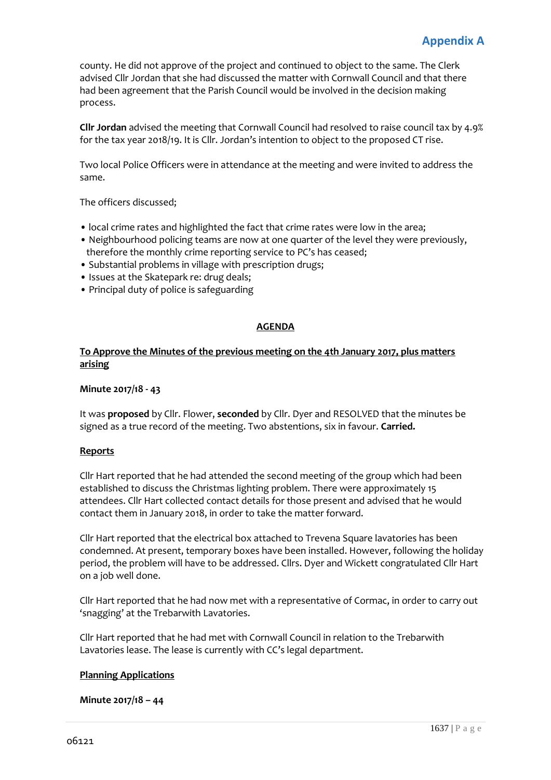county. He did not approve of the project and continued to object to the same. The Clerk advised Cllr Jordan that she had discussed the matter with Cornwall Council and that there had been agreement that the Parish Council would be involved in the decision making process.

**Cllr Jordan** advised the meeting that Cornwall Council had resolved to raise council tax by 4.9% for the tax year 2018/19. It is Cllr. Jordan's intention to object to the proposed CT rise.

Two local Police Officers were in attendance at the meeting and were invited to address the same.

The officers discussed;

- local crime rates and highlighted the fact that crime rates were low in the area;
- Neighbourhood policing teams are now at one quarter of the level they were previously, therefore the monthly crime reporting service to PC's has ceased;
- Substantial problems in village with prescription drugs;
- Issues at the Skatepark re: drug deals;
- Principal duty of police is safeguarding

# **AGENDA**

# **To Approve the Minutes of the previous meeting on the 4th January 2017, plus matters arising**

### **Minute 2017/18 - 43**

It was **proposed** by Cllr. Flower, **seconded** by Cllr. Dyer and RESOLVED that the minutes be signed as a true record of the meeting. Two abstentions, six in favour. **Carried.**

#### **Reports**

Cllr Hart reported that he had attended the second meeting of the group which had been established to discuss the Christmas lighting problem. There were approximately 15 attendees. Cllr Hart collected contact details for those present and advised that he would contact them in January 2018, in order to take the matter forward.

Cllr Hart reported that the electrical box attached to Trevena Square lavatories has been condemned. At present, temporary boxes have been installed. However, following the holiday period, the problem will have to be addressed. Cllrs. Dyer and Wickett congratulated Cllr Hart on a job well done.

Cllr Hart reported that he had now met with a representative of Cormac, in order to carry out 'snagging' at the Trebarwith Lavatories.

Cllr Hart reported that he had met with Cornwall Council in relation to the Trebarwith Lavatories lease. The lease is currently with CC's legal department.

#### **Planning Applications**

#### **Minute 2017/18 – 44**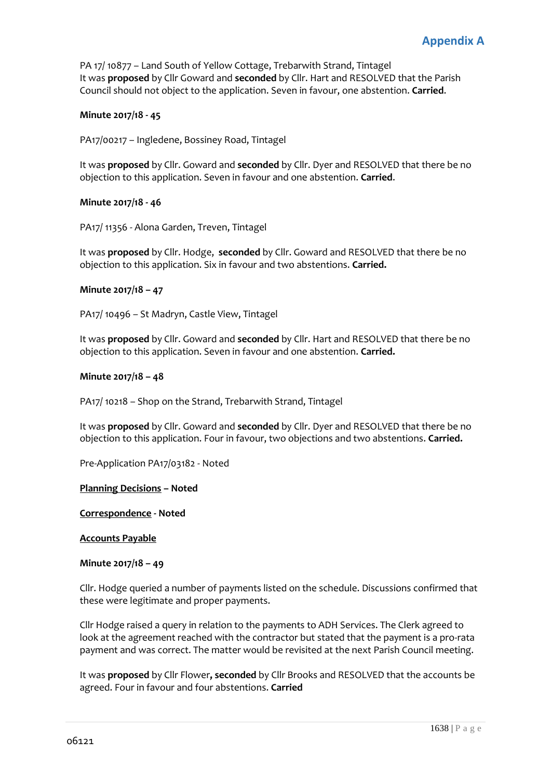PA 17/ 10877 – Land South of Yellow Cottage, Trebarwith Strand, Tintagel It was **proposed** by Cllr Goward and **seconded** by Cllr. Hart and RESOLVED that the Parish Council should not object to the application. Seven in favour, one abstention. **Carried**.

# **Minute 2017/18 - 45**

PA17/00217 – Ingledene, Bossiney Road, Tintagel

It was **proposed** by Cllr. Goward and **seconded** by Cllr. Dyer and RESOLVED that there be no objection to this application. Seven in favour and one abstention. **Carried**.

#### **Minute 2017/18 - 46**

PA17/ 11356 - Alona Garden, Treven, Tintagel

It was **proposed** by Cllr. Hodge, **seconded** by Cllr. Goward and RESOLVED that there be no objection to this application. Six in favour and two abstentions. **Carried.**

#### **Minute 2017/18 – 47**

PA17/ 10496 – St Madryn, Castle View, Tintagel

It was **proposed** by Cllr. Goward and **seconded** by Cllr. Hart and RESOLVED that there be no objection to this application. Seven in favour and one abstention. **Carried.** 

#### **Minute 2017/18 – 48**

PA17/ 10218 – Shop on the Strand, Trebarwith Strand, Tintagel

It was **proposed** by Cllr. Goward and **seconded** by Cllr. Dyer and RESOLVED that there be no objection to this application. Four in favour, two objections and two abstentions. **Carried.**

Pre-Application PA17/03182 - Noted

#### **Planning Decisions – Noted**

**Correspondence - Noted** 

#### **Accounts Payable**

#### **Minute 2017/18 – 49**

Cllr. Hodge queried a number of payments listed on the schedule. Discussions confirmed that these were legitimate and proper payments.

Cllr Hodge raised a query in relation to the payments to ADH Services. The Clerk agreed to look at the agreement reached with the contractor but stated that the payment is a pro-rata payment and was correct. The matter would be revisited at the next Parish Council meeting.

It was **proposed** by Cllr Flower**, seconded** by Cllr Brooks and RESOLVED that the accounts be agreed. Four in favour and four abstentions. **Carried**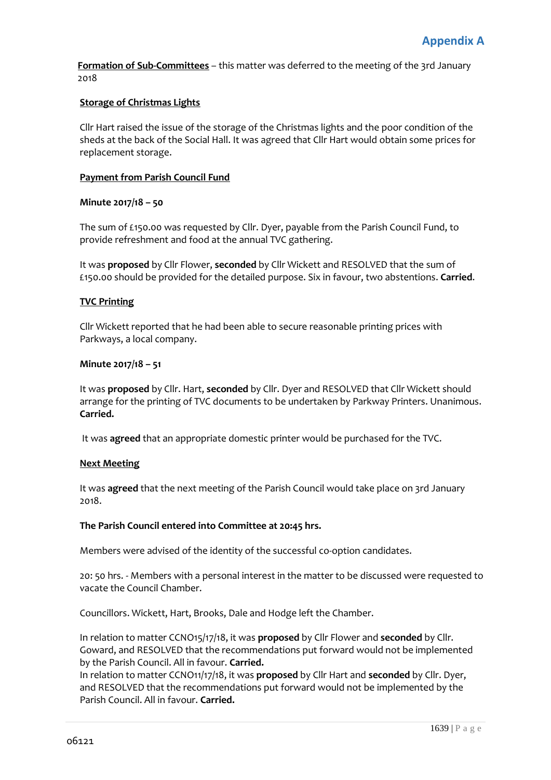**Formation of Sub-Committees** – this matter was deferred to the meeting of the 3rd January 2018

# **Storage of Christmas Lights**

Cllr Hart raised the issue of the storage of the Christmas lights and the poor condition of the sheds at the back of the Social Hall. It was agreed that Cllr Hart would obtain some prices for replacement storage.

# **Payment from Parish Council Fund**

#### **Minute 2017/18 – 50**

The sum of £150.00 was requested by Cllr. Dyer, payable from the Parish Council Fund, to provide refreshment and food at the annual TVC gathering.

It was **proposed** by Cllr Flower, **seconded** by Cllr Wickett and RESOLVED that the sum of £150.00 should be provided for the detailed purpose. Six in favour, two abstentions. **Carried**.

#### **TVC Printing**

Cllr Wickett reported that he had been able to secure reasonable printing prices with Parkways, a local company.

#### **Minute 2017/18 – 51**

It was **proposed** by Cllr. Hart, **seconded** by Cllr. Dyer and RESOLVED that Cllr Wickett should arrange for the printing of TVC documents to be undertaken by Parkway Printers. Unanimous. **Carried.**

It was **agreed** that an appropriate domestic printer would be purchased for the TVC.

#### **Next Meeting**

It was **agreed** that the next meeting of the Parish Council would take place on 3rd January 2018.

#### **The Parish Council entered into Committee at 20:45 hrs.**

Members were advised of the identity of the successful co-option candidates.

20: 50 hrs. - Members with a personal interest in the matter to be discussed were requested to vacate the Council Chamber.

Councillors. Wickett, Hart, Brooks, Dale and Hodge left the Chamber.

In relation to matter CCNO15/17/18, it was **proposed** by Cllr Flower and **seconded** by Cllr. Goward, and RESOLVED that the recommendations put forward would not be implemented by the Parish Council. All in favour. **Carried.**

In relation to matter CCNO11/17/18, it was **proposed** by Cllr Hart and **seconded** by Cllr. Dyer, and RESOLVED that the recommendations put forward would not be implemented by the Parish Council. All in favour. **Carried.**